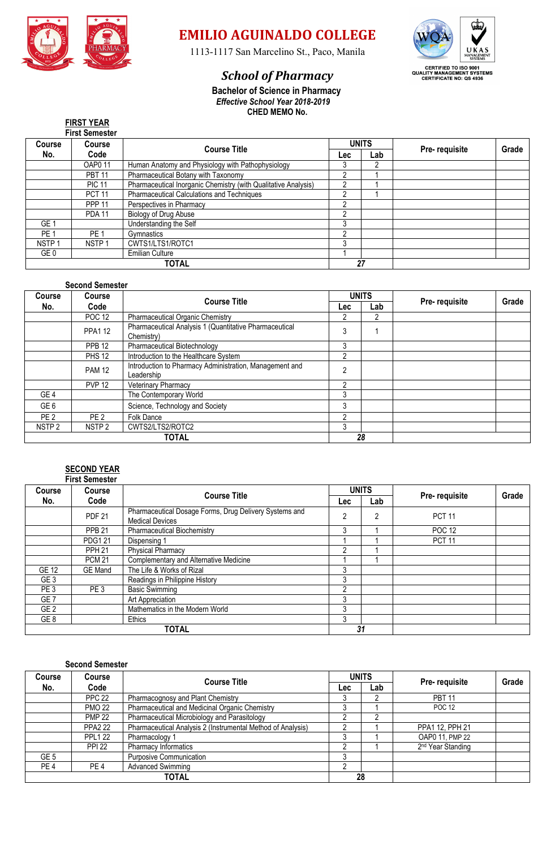

# **EMILIO AGUINALDO COLLEGE**

1113-1117 San Marcelino St., Paco, Manila

# *School of Pharmacy*



 **Bachelor of Science in Pharmacy** *Effective School Year 2018-2019* **CHED MEMO No.**

|  | <b>FIRST YEAR</b> |  |
|--|-------------------|--|
|  | Eiret Samaetar    |  |

|                   | <b>First Semester</b> |                                                                |            |              |               |       |
|-------------------|-----------------------|----------------------------------------------------------------|------------|--------------|---------------|-------|
| <b>Course</b>     | Course                | <b>Course Title</b>                                            |            | <b>UNITS</b> | Pre-requisite | Grade |
| No.               | Code                  |                                                                | <b>Lec</b> | Lab          |               |       |
|                   | <b>OAP011</b>         | Human Anatomy and Physiology with Pathophysiology              | З          | 2            |               |       |
|                   | <b>PBT 11</b>         | Pharmaceutical Botany with Taxonomy                            | ŋ          |              |               |       |
|                   | <b>PIC 11</b>         | Pharmaceutical Inorganic Chemistry (with Qualitative Analysis) | ŋ          |              |               |       |
|                   | <b>PCT 11</b>         | Pharmaceutical Calculations and Techniques                     | ŋ          |              |               |       |
|                   | <b>PPP 11</b>         | Perspectives in Pharmacy                                       | C          |              |               |       |
|                   | <b>PDA 11</b>         | Biology of Drug Abuse                                          | ∩          |              |               |       |
| GE <sub>1</sub>   |                       | Understanding the Self                                         | 3          |              |               |       |
| PE <sub>1</sub>   | PE <sub>1</sub>       | Gymnastics                                                     | ኅ          |              |               |       |
| NSTP <sub>1</sub> | NSTP <sub>1</sub>     | CWTS1/LTS1/ROTC1                                               | 3          |              |               |       |
| GE <sub>0</sub>   |                       | <b>Emilian Culture</b>                                         |            |              |               |       |
|                   |                       | <b>TOTAL</b>                                                   |            | 27           |               |       |

## **Second Semester**

| <b>Course</b>     | Course<br>Code<br>No. | <b>Course Title</b>                                                   | <b>UNITS</b>   |     |               | Grade |
|-------------------|-----------------------|-----------------------------------------------------------------------|----------------|-----|---------------|-------|
|                   |                       |                                                                       | Lec:           | Lab | Pre-requisite |       |
|                   | <b>POC 12</b>         | <b>Pharmaceutical Organic Chemistry</b>                               |                | 2   |               |       |
|                   | <b>PPA1 12</b>        | Pharmaceutical Analysis 1 (Quantitative Pharmaceutical<br>Chemistry)  | 3              |     |               |       |
|                   | <b>PPB 12</b>         | Pharmaceutical Biotechnology                                          | 3              |     |               |       |
|                   | <b>PHS 12</b>         | Introduction to the Healthcare System                                 | າ              |     |               |       |
|                   | <b>PAM 12</b>         | Introduction to Pharmacy Administration, Management and<br>Leadership | C              |     |               |       |
|                   | <b>PVP 12</b>         | Veterinary Pharmacy                                                   | $\mathfrak{p}$ |     |               |       |
| GE <sub>4</sub>   |                       | The Contemporary World                                                | 3              |     |               |       |
| GE <sub>6</sub>   |                       | Science, Technology and Society                                       | 3              |     |               |       |
| PE <sub>2</sub>   | PE <sub>2</sub>       | Folk Dance                                                            | C              |     |               |       |
| NSTP <sub>2</sub> | NSTP <sub>2</sub>     | CWTS2/LTS2/ROTC2                                                      | 3              |     |               |       |
| <b>TOTAL</b>      |                       |                                                                       | 28             |     |               |       |

#### **SECOND YEAR First Semester**

|                 | гны эспемен     |                                                                                  |                   |    |               |       |
|-----------------|-----------------|----------------------------------------------------------------------------------|-------------------|----|---------------|-------|
| Course          | Course          | <b>Course Title</b>                                                              | <b>UNITS</b>      |    |               | Grade |
| No.             | Code            |                                                                                  | Lab<br><b>Lec</b> |    | Pre-requisite |       |
|                 | <b>PDF 21</b>   | Pharmaceutical Dosage Forms, Drug Delivery Systems and<br><b>Medical Devices</b> | ≘                 | 2  | <b>PCT 11</b> |       |
|                 | <b>PPB 21</b>   | <b>Pharmaceutical Biochemistry</b>                                               | 3                 |    | <b>POC 12</b> |       |
|                 | <b>PDG121</b>   | Dispensing 1                                                                     |                   |    | <b>PCT 11</b> |       |
|                 | <b>PPH 21</b>   | <b>Physical Pharmacy</b>                                                         |                   |    |               |       |
|                 | <b>PCM 21</b>   | Complementary and Alternative Medicine                                           |                   |    |               |       |
| GE 12           | <b>GE</b> Mand  | The Life & Works of Rizal                                                        | 3                 |    |               |       |
| GE <sub>3</sub> |                 | Readings in Philippine History                                                   | 3                 |    |               |       |
| PE <sub>3</sub> | PE <sub>3</sub> | <b>Basic Swimming</b>                                                            | ŋ                 |    |               |       |
| GE <sub>7</sub> |                 | Art Appreciation                                                                 | 3                 |    |               |       |
| GE <sub>2</sub> |                 | Mathematics in the Modern World                                                  | 3                 |    |               |       |
| GE 8            |                 | Ethics                                                                           | 3                 |    |               |       |
|                 |                 | <b>TOTAL</b>                                                                     |                   | 31 |               |       |

## **Second Semester**

| <b>Course</b>   | <b>Course</b>   | <b>Course Title</b>                                         |            | <b>UNITS</b> | Pre-requisite                 | Grade |
|-----------------|-----------------|-------------------------------------------------------------|------------|--------------|-------------------------------|-------|
| No.             | Code            |                                                             | <b>Lec</b> | Lab          |                               |       |
|                 | <b>PPC 22</b>   | Pharmacognosy and Plant Chemistry                           |            |              | <b>PBT 11</b>                 |       |
|                 | <b>PMO 22</b>   | Pharmaceutical and Medicinal Organic Chemistry              |            |              | <b>POC 12</b>                 |       |
|                 | <b>PMP 22</b>   | Pharmaceutical Microbiology and Parasitology                |            | ∩            |                               |       |
|                 | <b>PPA2 22</b>  | Pharmaceutical Analysis 2 (Instrumental Method of Analysis) |            |              | PPA1 12, PPH 21               |       |
|                 | <b>PPL1 22</b>  | Pharmacology 1                                              |            |              | OAP0 11, PMP 22               |       |
|                 | <b>PPI 22</b>   | Pharmacy Informatics                                        |            |              | 2 <sup>nd</sup> Year Standing |       |
| GE <sub>5</sub> |                 | Purposive Communication                                     |            |              |                               |       |
| PE <sub>4</sub> | PE <sub>4</sub> | <b>Advanced Swimming</b>                                    |            |              |                               |       |
|                 |                 | TOTAL                                                       |            | 28           |                               |       |